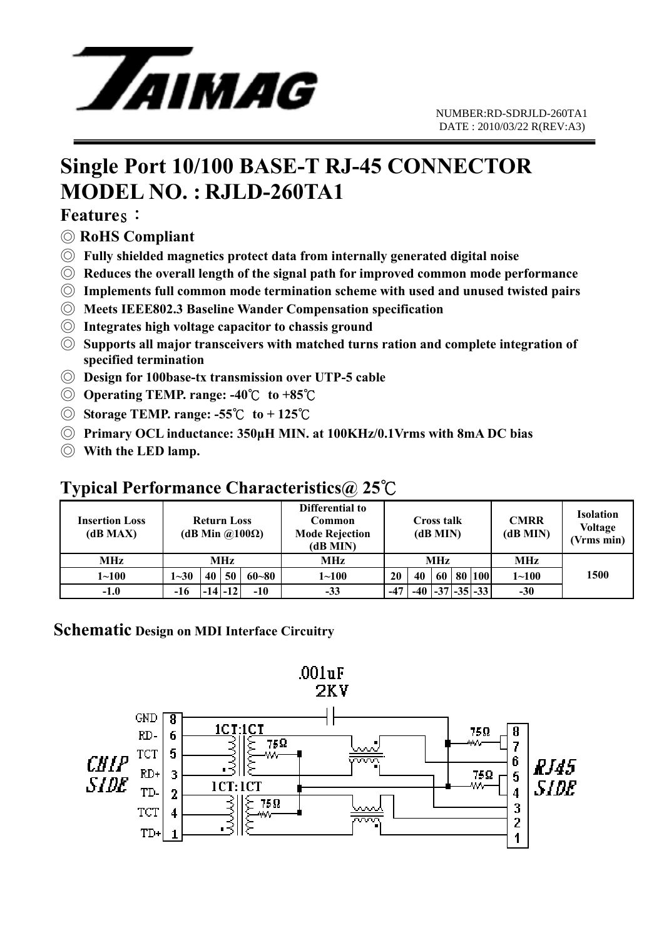

## **Single Port 10/100 BASE-T RJ-45 CONNECTOR MODEL NO. : RJLD-260TA1**

#### **Features:**

- ◎ **RoHS Compliant**
- ◎ **Fully shielded magnetics protect data from internally generated digital noise**
- ◎ **Reduces the overall length of the signal path for improved common mode performance**
- ◎ **Implements full common mode termination scheme with used and unused twisted pairs**
- ◎ **Meets IEEE802.3 Baseline Wander Compensation specification**
- ◎ **Integrates high voltage capacitor to chassis ground**
- ◎ **Supports all major transceivers with matched turns ration and complete integration of specified termination**
- ◎ **Design for 100base-tx transmission over UTP-5 cable**
- ◎ **Operating TEMP. range: -40**℃ **to +85**℃
- ◎ **Storage TEMP. range: -55**℃ **to + 125**℃
- ◎ **Primary OCL inductance: 350μH MIN. at 100KHz/0.1Vrms with 8mA DC bias**
- ◎ **With the LED lamp.**

### **Typical Performance Characteristics@ 25**℃

| Insertion Loss<br>(dB MAX) | <b>Return Loss</b><br>(dB Min @100 $\Omega$ ) |    |             |           | Differential to<br>Common<br><b>Mode Rejection</b><br>(dB MIN) | <b>Cross talk</b><br>(dB MIN) |       |    |  | <b>CMRR</b><br>(dB MIN) | <b>Isolation</b><br><b>Voltage</b><br>(Vrms min) |      |
|----------------------------|-----------------------------------------------|----|-------------|-----------|----------------------------------------------------------------|-------------------------------|-------|----|--|-------------------------|--------------------------------------------------|------|
| <b>MHz</b>                 | MHz                                           |    |             |           | MHz                                                            | MHz                           |       |    |  |                         | MHz                                              |      |
| $1 - 100$                  | $1 - 30$                                      | 40 | 50          | $60 - 80$ | $1 \!\!\sim\!\! 100$                                           | 20                            | 40    | 60 |  | 80 100                  | $1 - 100$                                        | 1500 |
| $-1.0$                     | $-16$                                         |    | $-14$ $-12$ | $-10$     | $-33$                                                          | $-47$                         | $-40$ |    |  | $-37$ $-35$ $-33$       | $-30$                                            |      |

#### **Schematic Design on MDI Interface Circuitry**

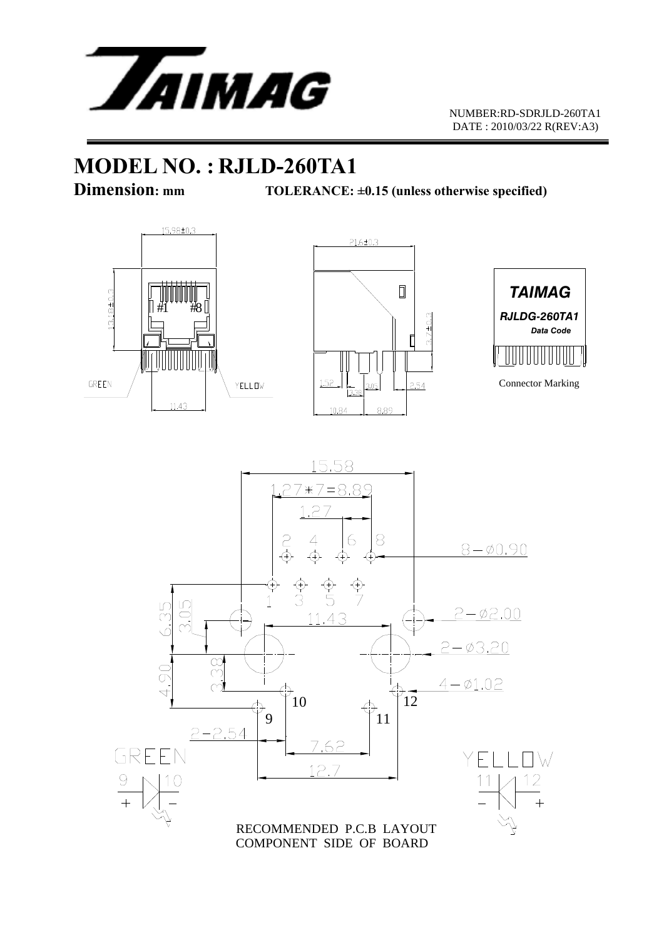

## **MODEL NO. : RJLD-260TA1**

**Dimension:** mm TOLERANCE: ±0.15 (unless otherwise specified)









COMPONENT SIDE OF BOARD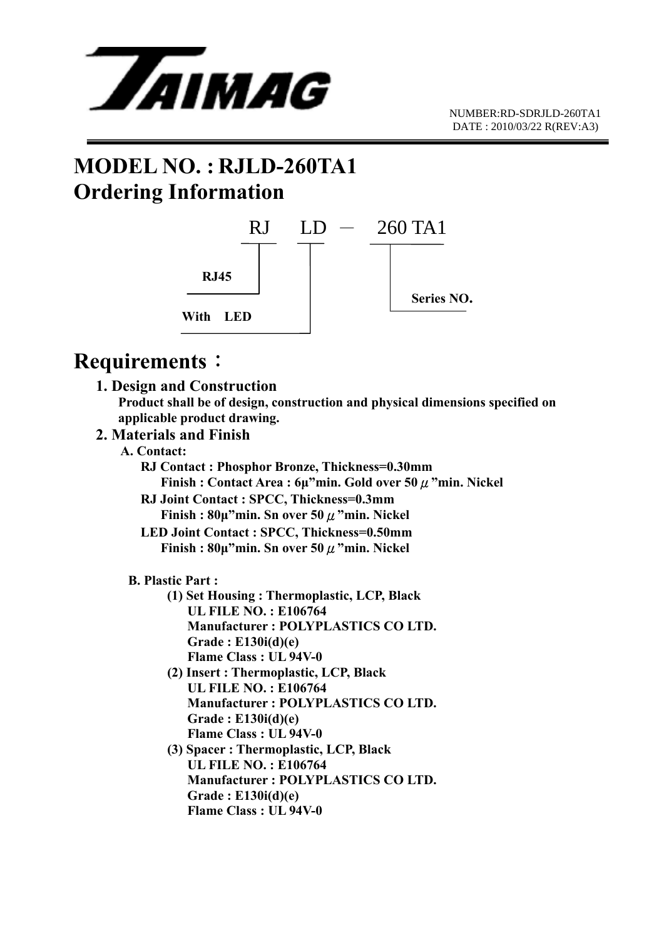

## **MODEL NO. : RJLD-260TA1 Ordering Information**



## **Requirements**:

 **1. Design and Construction Product shall be of design, construction and physical dimensions specified on applicable product drawing.** 

#### **2. Materials and Finish**

- **A. Contact:** 
	- **RJ Contact : Phosphor Bronze, Thickness=0.30mm Finish : Contact Area : 6μ"min. Gold over 50**μ**"min. Nickel RJ Joint Contact : SPCC, Thickness=0.3mm** 
		- **Finish : 80μ"min. Sn over 50**μ**"min. Nickel**
	- **LED Joint Contact : SPCC, Thickness=0.50mm Finish : 80μ"min. Sn over 50**μ**"min. Nickel**

#### **B. Plastic Part :**

- **(1) Set Housing : Thermoplastic, LCP, Black UL FILE NO. : E106764 Manufacturer : POLYPLASTICS CO LTD. Grade : E130i(d)(e) Flame Class : UL 94V-0**
- **(2) Insert : Thermoplastic, LCP, Black UL FILE NO. : E106764 Manufacturer : POLYPLASTICS CO LTD. Grade : E130i(d)(e) Flame Class : UL 94V-0**
- **(3) Spacer : Thermoplastic, LCP, Black UL FILE NO. : E106764 Manufacturer : POLYPLASTICS CO LTD. Grade : E130i(d)(e) Flame Class : UL 94V-0**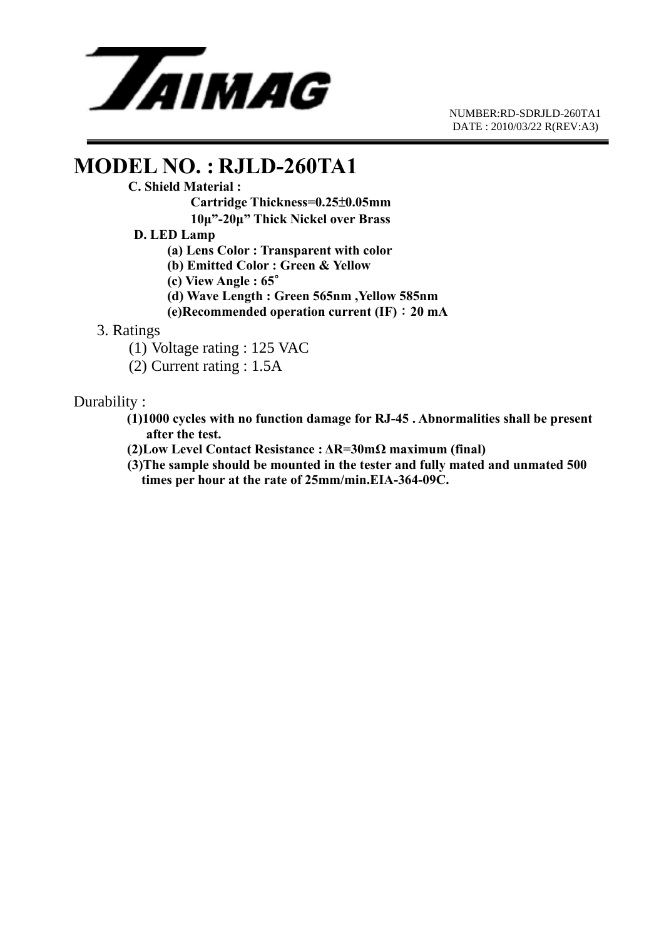

 NUMBER:RD-SDRJLD-260TA1 DATE : 2010/03/22 R(REV:A3)

# **MODEL NO. : RJLD-260TA1**<br>C. Shield Material :

 **Cartridge Thickness=0.25**±**0.05mm** 

 **10μ"-20μ" Thick Nickel over Brass** 

#### **D. LED Lamp**

 **(a) Lens Color : Transparent with color** 

 **(b) Emitted Color : Green & Yellow** 

 **(c) View Angle : 65**∘

 **(d) Wave Length : Green 565nm ,Yellow 585nm** 

 **(e)Recommended operation current (IF)**:**20 mA**

#### 3. Ratings

(1) Voltage rating : 125 VAC

(2) Current rating : 1.5A

#### Durability :

 **(1)1000 cycles with no function damage for RJ-45 . Abnormalities shall be present after the test.** 

- **(2)Low Level Contact Resistance : ΔR=30mΩ maximum (final)**
- **(3)The sample should be mounted in the tester and fully mated and unmated 500 times per hour at the rate of 25mm/min.EIA-364-09C.**